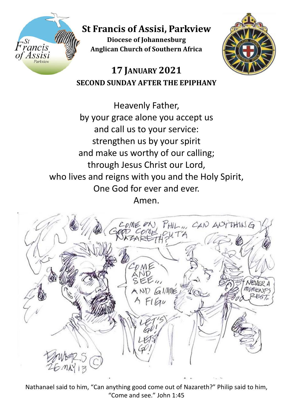

**St Francis of Assisi, Parkview**

**Diocese of Johannesburg Anglican Church of Southern Africa**



## **17 JANUARY 2021 SECOND SUNDAY AFTER THE EPIPHANY**

Heavenly Father, by your grace alone you accept us and call us to your service: strengthen us by your spirit and make us worthy of our calling; through Jesus Christ our Lord, who lives and reigns with you and the Holy Spirit, One God for ever and ever. Amen.



Nathanael said to him, "Can anything good come out of Nazareth?" Philip said to him, "Come and see." John 1:45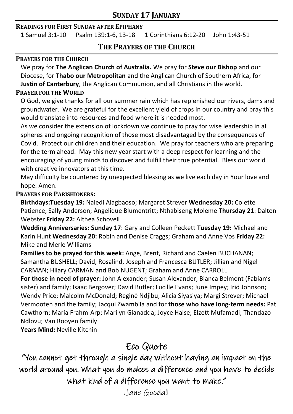### **SUNDAY 17 JANUARY**

### **READINGS FOR FIRST SUNDAY AFTER EPIPHANY**

1 Samuel 3:1-10 Psalm 139:1-6, 13-18 1 Corinthians 6:12-20 John 1:43-51

### **THE PRAYERS OF THE CHURCH**

### **PRAYERS FOR THE CHURCH**

We pray for **The Anglican Church of Australia.** We pray for **Steve our Bishop** and our Diocese, for **Thabo our Metropolitan** and the Anglican Church of Southern Africa, for **Justin of Canterbury**, the Anglican Communion, and all Christians in the world.

### **PRAYER FOR THE WORLD**

O God, we give thanks for all our summer rain which has replenished our rivers, dams and groundwater. We are grateful for the excellent yield of crops in our country and pray this would translate into resources and food where it is needed most.

As we consider the extension of lockdown we continue to pray for wise leadership in all spheres and ongoing recognition of those most disadvantaged by the consequences of Covid. Protect our children and their education. We pray for teachers who are preparing for the term ahead. May this new year start with a deep respect for learning and the encouraging of young minds to discover and fulfill their true potential. Bless our world with creative innovators at this time.

May difficulty be countered by unexpected blessing as we live each day in Your love and hope. Amen.

### **PRAYERS FOR PARISHIONERS:**

**Birthdays:Tuesday 19:** Naledi Alagbaoso; Margaret Strever **Wednesday 20:** Colette Patience; Sally Anderson; Angelique Blumentritt; Nthabiseng Moleme **Thursday 21**: Dalton Webster **Friday 22:** Althea Schovell

**Wedding Anniversaries: Sunday 17**: Gary and Colleen Peckett **Tuesday 19:** Michael and Karin Hunt **Wednesday 20:** Robin and Denise Craggs; Graham and Anne Vos **Friday 22:** Mike and Merle Williams

**Families to be prayed for this week:** Ange, Brent, Richard and Caelen BUCHANAN; Samantha BUSHELL; David, Rosalind, Joseph and Francesca BUTLER; Jillian and Nigel CARMAN; Hilary CARMAN and Bob NUGENT; Graham and Anne CARROLL

**For those in need of prayer:** John Alexander; Susan Alexander; Bianca Belmont (Fabian's sister) and family; Isaac Bergover; David Butler; Lucille Evans; June Impey; Irid Johnson; Wendy Price; Malcolm McDonald; Reginė Ndjibu; Alicia Siyasiya; Margi Strever; Michael Vermooten and the family; Jacqui Zwambila and for **those who have long-term needs:** Pat Cawthorn; Maria Frahm-Arp; Marilyn Gianadda; Joyce Halse; Elzett Mufamadi; Thandazo Ndlovu; Van Rooyen family

**Years Mind:** Neville Kitchin

### Eco Quote

"You cannot get through a single day without having an impact on the world around you. What you do makes a difference and you have to decide what kind of a difference you want to make."

Jane Goodall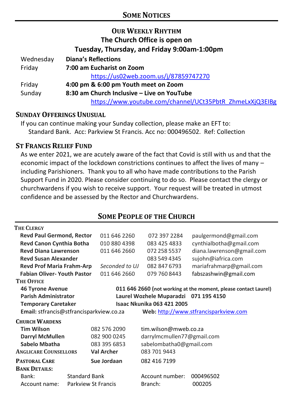### **OUR WEEKLY RHYTHM The Church Office is open on Tuesday, Thursday, and Friday 9:00am-1:00pm**

| Wednesday | <b>Diana's Reflections</b>                               |
|-----------|----------------------------------------------------------|
| Friday    | 7:00 am Eucharist on Zoom                                |
|           | https://us02web.zoom.us/j/87859747270                    |
| Friday    | 4:00 pm & 6:00 pm Youth meet on Zoom                     |
| Sunday    | 8:30 am Church Inclusive – Live on YouTube               |
|           | https://www.youtube.com/channel/UCt35PbtR_ZhmeLxXjQ3EIBg |

### **SUNDAY OFFERINGS UNUSUAL**

If you can continue making your Sunday collection, please make an EFT to: Standard Bank. Acc: Parkview St Francis. Acc no: 000496502. Ref: Collection

### **ST FRANCIS RELIEF FUND**

As we enter 2021, we are acutely aware of the fact that Covid is still with us and that the economic impact of the lockdown constrictions continues to affect the lives of many – including Parishioners. Thank you to all who have made contributions to the Parish Support Fund in 2020. Please consider continuing to do so. Please contact the clergy or churchwardens if you wish to receive support. Your request will be treated in utmost confidence and be assessed by the Rector and Churchwardens.

#### **THE CLERGY Revd Paul Germond, Rector** 011 646 2260 072 397 2284 paulgermond@gmail.com **Revd Canon Cynthia Botha** 010 880 4398 083 425 4833 cynthialbotha@gmail.com **Revd Diana Lawrenson Revd Susan Alexander Revd Prof Maria Frahm-Arp** 011 646 2660 *Seconded to UJ* 072 258 5537 083 549 4345 082 847 6793 diana.lawrenson@gmail.com sujohn@iafrica.com mariafrahmarp@gmail.com **Fabian Oliver- Youth Pastor** 011 646 2660 079 760 8443 fabszashwin@gmail.com **THE OFFICE 46 Tyrone Avenue 011 646 2660 (not working at the moment, please contact Laurel) Parish Administrator Laurel Wozhele Muparadzi 071 195 4150 Temporary Caretaker Isaac Nkunika 063 421 2005 Email:** stfrancis@stfrancisparkview.co.za **Web:** [http://www.stfrancisparkview.com](http://www.stfrancisparkview.com/) **CHURCH WARDENS Tim Wilson** 082 576 2090 [tim.wilson@mweb.co.za](mailto:tim.wilson@mweb.co.za) **Darryl McMullen** 082 900 0245 darrylmcmullen77@gmail.com **Sabelo Mbatha** 083 395 6853 sabelombatha0@gmail.com **ANGLICARE COUNSELLORS Val Archer** 083 701 9443 **PASTORAL CARE Sue Jordaan** 082 416 7199 **BANK DETAILS:** Bank: Standard Bank Account number: 000496502 Account name: Parkview St Francis Branch: 000205

### **SOME PEOPLE OF THE CHURCH**